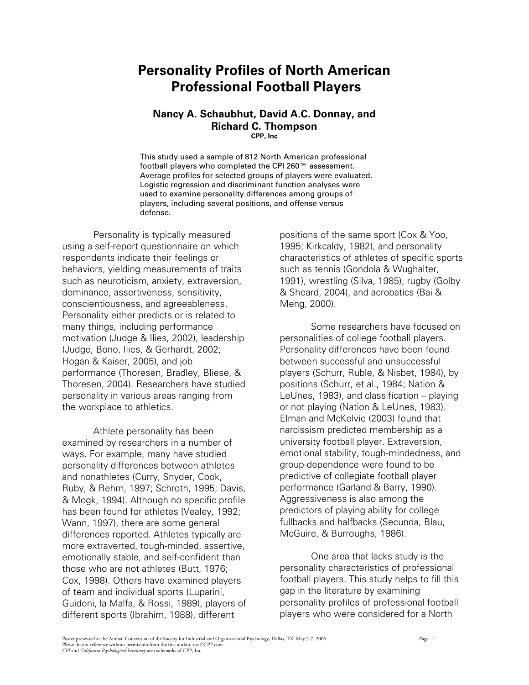# **Personality Profiles of North American Professional Football Players**

# **Nancy A. Schaubhut, David A.C. Donnay, and Richard C. Thompson**

**CPP, Inc**

This study used a sample of 812 North American professional football players who completed the CPI 260™ assessment. Average profiles for selected groups of players were evaluated. Logistic regression and discriminant function analyses were used to examine personality differences among groups of players, including several positions, and offense versus defense.

Personality is typically measured using a self-report questionnaire on which respondents indicate their feelings or behaviors, yielding measurements of traits such as neuroticism, anxiety, extraversion, dominance, assertiveness, sensitivity, conscientiousness, and agreeableness. Personality either predicts or is related to many things, including performance motivation (Judge & Ilies, 2002), leadership (Judge, Bono, Ilies, & Gerhardt, 2002; Hogan & Kaiser, 2005), and job performance (Thoresen, Bradley, Bliese, & Thoresen, 2004). Researchers have studied personality in various areas ranging from the workplace to athletics.

Athlete personality has been examined by researchers in a number of ways. For example, many have studied personality differences between athletes and nonathletes (Curry, Snyder, Cook, Ruby, & Rehm, 1997; Schroth, 1995; Davis, & Mogk, 1994). Although no specific profile has been found for athletes (Vealey, 1992; Wann, 1997), there are some general differences reported. Athletes typically are more extraverted, tough-minded, assertive, emotionally stable, and self-confident than those who are not athletes (Butt, 1976; Cox, 1998). Others have examined players of team and individual sports (Luparini, Guidoni, la Malfa, & Rossi, 1989), players of different sports (Ibrahim, 1988), different

positions of the same sport (Cox & Yoo, 1995; Kirkcaldy, 1982), and personality characteristics of athletes of specific sports such as tennis (Gondola & Wughalter, 1991), wrestling (Silva, 1985), rugby (Golby & Sheard, 2004), and acrobatics (Bai & Meng, 2000).

Some researchers have focused on personalities of college football players. Personality differences have been found between successful and unsuccessful players (Schurr, Ruble, & Nisbet, 1984), by positions (Schurr, et al., 1984; Nation & LeUnes, 1983), and classification – playing or not playing (Nation & LeUnes, 1983). Elman and McKelvie (2003) found that narcissism predicted membership as a university football player. Extraversion, emotional stability, tough-mindedness, and group-dependence were found to be predictive of collegiate football player performance (Garland & Barry, 1990). Aggressiveness is also among the predictors of playing ability for college fullbacks and halfbacks (Secunda, Blau, McGuire, & Burroughs, 1986).

One area that lacks study is the personality characteristics of professional football players. This study helps to fill this gap in the literature by examining personality profiles of professional football players who were considered for a North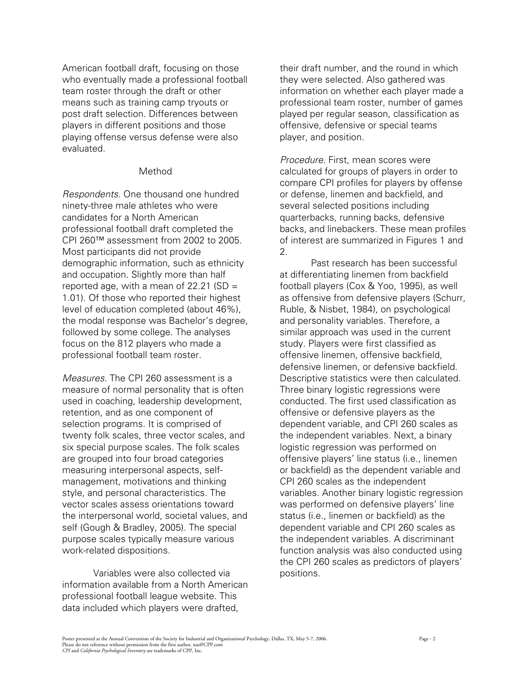American football draft, focusing on those who eventually made a professional football team roster through the draft or other means such as training camp tryouts or post draft selection. Differences between players in different positions and those playing offense versus defense were also evaluated.

### Method

*Respondents.* One thousand one hundred ninety-three male athletes who were candidates for a North American professional football draft completed the CPI 260™ assessment from 2002 to 2005. Most participants did not provide demographic information, such as ethnicity and occupation. Slightly more than half reported age, with a mean of  $22.21$  (SD = 1.01). Of those who reported their highest level of education completed (about 46%), the modal response was Bachelor's degree, followed by some college. The analyses focus on the 812 players who made a professional football team roster.

*Measures.* The CPI 260 assessment is a measure of normal personality that is often used in coaching, leadership development, retention, and as one component of selection programs. It is comprised of twenty folk scales, three vector scales, and six special purpose scales. The folk scales are grouped into four broad categories measuring interpersonal aspects, selfmanagement, motivations and thinking style, and personal characteristics. The vector scales assess orientations toward the interpersonal world, societal values, and self (Gough & Bradley, 2005). The special purpose scales typically measure various work-related dispositions.

Variables were also collected via information available from a North American professional football league website. This data included which players were drafted,

their draft number, and the round in which they were selected. Also gathered was information on whether each player made a professional team roster, number of games played per regular season, classification as offensive, defensive or special teams player, and position.

*Procedure.* First, mean scores were calculated for groups of players in order to compare CPI profiles for players by offense or defense, linemen and backfield, and several selected positions including quarterbacks, running backs, defensive backs, and linebackers. These mean profiles of interest are summarized in Figures 1 and 2.

Past research has been successful at differentiating linemen from backfield football players (Cox & Yoo, 1995), as well as offensive from defensive players (Schurr, Ruble, & Nisbet, 1984), on psychological and personality variables. Therefore, a similar approach was used in the current study. Players were first classified as offensive linemen, offensive backfield, defensive linemen, or defensive backfield. Descriptive statistics were then calculated. Three binary logistic regressions were conducted. The first used classification as offensive or defensive players as the dependent variable, and CPI 260 scales as the independent variables. Next, a binary logistic regression was performed on offensive players' line status (i.e., linemen or backfield) as the dependent variable and CPI 260 scales as the independent variables. Another binary logistic regression was performed on defensive players' line status (i.e., linemen or backfield) as the dependent variable and CPI 260 scales as the independent variables. A discriminant function analysis was also conducted using the CPI 260 scales as predictors of players' positions.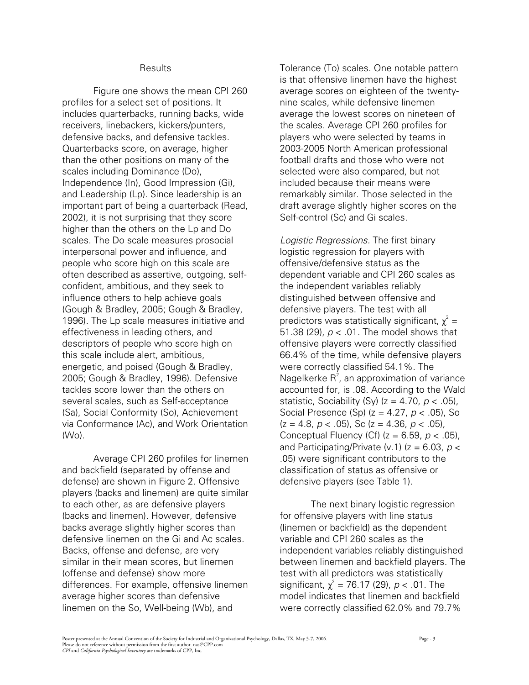#### **Results**

Figure one shows the mean CPI 260 profiles for a select set of positions. It includes quarterbacks, running backs, wide receivers, linebackers, kickers/punters, defensive backs, and defensive tackles. Quarterbacks score, on average, higher than the other positions on many of the scales including Dominance (Do), Independence (In), Good Impression (Gi), and Leadership (Lp). Since leadership is an important part of being a quarterback (Read, 2002), it is not surprising that they score higher than the others on the Lp and Do scales. The Do scale measures prosocial interpersonal power and influence, and people who score high on this scale are often described as assertive, outgoing, selfconfident, ambitious, and they seek to influence others to help achieve goals (Gough & Bradley, 2005; Gough & Bradley, 1996). The Lp scale measures initiative and effectiveness in leading others, and descriptors of people who score high on this scale include alert, ambitious, energetic, and poised (Gough & Bradley, 2005; Gough & Bradley, 1996). Defensive tackles score lower than the others on several scales, such as Self-acceptance (Sa), Social Conformity (So), Achievement via Conformance (Ac), and Work Orientation  $(W<sub>O</sub>)$ .

Average CPI 260 profiles for linemen and backfield (separated by offense and defense) are shown in Figure 2. Offensive players (backs and linemen) are quite similar to each other, as are defensive players (backs and linemen). However, defensive backs average slightly higher scores than defensive linemen on the Gi and Ac scales. Backs, offense and defense, are very similar in their mean scores, but linemen (offense and defense) show more differences. For example, offensive linemen average higher scores than defensive linemen on the So, Well-being (Wb), and

Tolerance (To) scales. One notable pattern is that offensive linemen have the highest average scores on eighteen of the twentynine scales, while defensive linemen average the lowest scores on nineteen of the scales. Average CPI 260 profiles for players who were selected by teams in 2003-2005 North American professional football drafts and those who were not selected were also compared, but not included because their means were remarkably similar. Those selected in the draft average slightly higher scores on the Self-control (Sc) and Gi scales.

*Logistic Regressions.* The first binary logistic regression for players with offensive/defensive status as the dependent variable and CPI 260 scales as the independent variables reliably distinguished between offensive and defensive players. The test with all predictors was statistically significant,  $\chi^2 =$ 51.38 (29), *p* < .01. The model shows that offensive players were correctly classified 66.4% of the time, while defensive players were correctly classified 54.1%. The Nagelkerke  $R^2$ , an approximation of variance accounted for, is .08. According to the Wald statistic, Sociability (Sy) (z = 4.70, *p* < .05), Social Presence (Sp) (z = 4.27, *p* < .05), So  $(z = 4.8, p < .05)$ , Sc  $(z = 4.36, p < .05)$ , Conceptual Fluency (Cf) (z = 6.59, *p* < .05), and Participating/Private (v.1)  $(z = 6.03, p <$ .05) were significant contributors to the classification of status as offensive or defensive players (see Table 1).

The next binary logistic regression for offensive players with line status (linemen or backfield) as the dependent variable and CPI 260 scales as the independent variables reliably distinguished between linemen and backfield players. The test with all predictors was statistically significant,  $\chi^2 = 76.17$  (29),  $p < .01$ . The model indicates that linemen and backfield were correctly classified 62.0% and 79.7%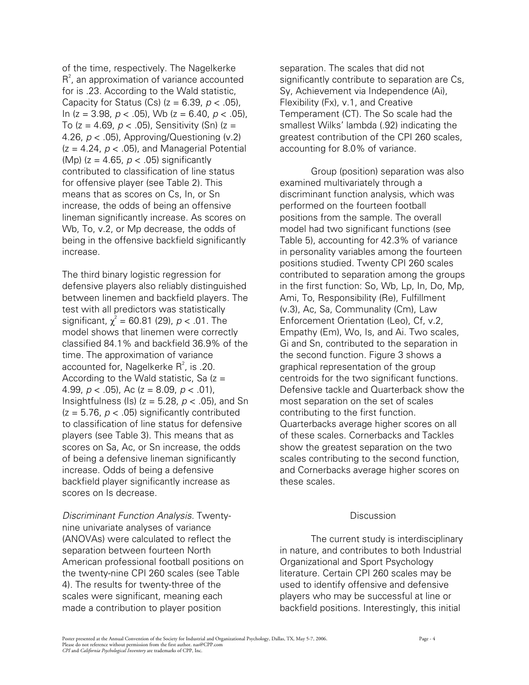of the time, respectively. The Nagelkerke  $R<sup>2</sup>$ , an approximation of variance accounted for is .23. According to the Wald statistic, Capacity for Status (Cs) (z = 6.39, *p* < .05), In (z = 3.98, *p* < .05), Wb (z = 6.40, *p* < .05), To (z = 4.69, *p* < .05), Sensitivity (Sn) (z = 4.26, *p* < .05), Approving/Questioning (v.2)  $(z = 4.24, p < .05)$ , and Managerial Potential (Mp) (z = 4.65, *p* < .05) significantly contributed to classification of line status for offensive player (see Table 2). This means that as scores on Cs, In, or Sn increase, the odds of being an offensive lineman significantly increase. As scores on Wb, To, v.2, or Mp decrease, the odds of being in the offensive backfield significantly increase.

The third binary logistic regression for defensive players also reliably distinguished between linemen and backfield players. The test with all predictors was statistically significant,  $\chi^2 = 60.81$  (29),  $p < .01$ . The model shows that linemen were correctly classified 84.1% and backfield 36.9% of the time. The approximation of variance accounted for, Nagelkerke  $R^2$ , is .20. According to the Wald statistic, Sa  $(z =$ 4.99, *p* < .05), Ac (z = 8.09, *p* < .01), Insightfulness (Is) (z = 5.28, *p* < .05), and Sn  $(z = 5.76, p < .05)$  significantly contributed to classification of line status for defensive players (see Table 3). This means that as scores on Sa, Ac, or Sn increase, the odds of being a defensive lineman significantly increase. Odds of being a defensive backfield player significantly increase as scores on Is decrease.

*Discriminant Function Analysis.* Twentynine univariate analyses of variance (ANOVAs) were calculated to reflect the separation between fourteen North American professional football positions on the twenty-nine CPI 260 scales (see Table 4). The results for twenty-three of the scales were significant, meaning each made a contribution to player position

separation. The scales that did not significantly contribute to separation are Cs, Sy, Achievement via Independence (Ai), Flexibility (Fx), v.1, and Creative Temperament (CT). The So scale had the smallest Wilks' lambda (.92) indicating the greatest contribution of the CPI 260 scales, accounting for 8.0% of variance.

 Group (position) separation was also examined multivariately through a discriminant function analysis, which was performed on the fourteen football positions from the sample. The overall model had two significant functions (see Table 5), accounting for 42.3% of variance in personality variables among the fourteen positions studied. Twenty CPI 260 scales contributed to separation among the groups in the first function: So, Wb, Lp, In, Do, Mp, Ami, To, Responsibility (Re), Fulfillment (v.3), Ac, Sa, Communality (Cm), Law Enforcement Orientation (Leo), Cf, v.2, Empathy (Em), Wo, Is, and Ai. Two scales, Gi and Sn, contributed to the separation in the second function. Figure 3 shows a graphical representation of the group centroids for the two significant functions. Defensive tackle and Quarterback show the most separation on the set of scales contributing to the first function. Quarterbacks average higher scores on all of these scales. Cornerbacks and Tackles show the greatest separation on the two scales contributing to the second function, and Cornerbacks average higher scores on these scales.

# Discussion

The current study is interdisciplinary in nature, and contributes to both Industrial Organizational and Sport Psychology literature. Certain CPI 260 scales may be used to identify offensive and defensive players who may be successful at line or backfield positions. Interestingly, this initial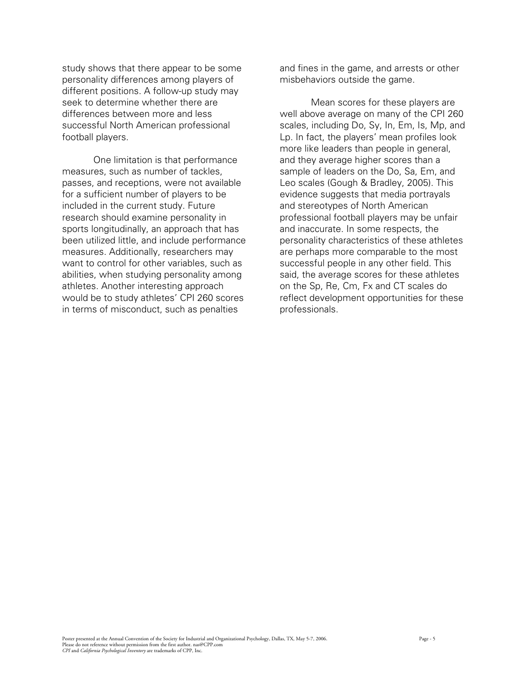study shows that there appear to be some personality differences among players of different positions. A follow-up study may seek to determine whether there are differences between more and less successful North American professional football players.

One limitation is that performance measures, such as number of tackles, passes, and receptions, were not available for a sufficient number of players to be included in the current study. Future research should examine personality in sports longitudinally, an approach that has been utilized little, and include performance measures. Additionally, researchers may want to control for other variables, such as abilities, when studying personality among athletes. Another interesting approach would be to study athletes' CPI 260 scores in terms of misconduct, such as penalties

and fines in the game, and arrests or other misbehaviors outside the game.

 Mean scores for these players are well above average on many of the CPI 260 scales, including Do, Sy, In, Em, Is, Mp, and Lp. In fact, the players' mean profiles look more like leaders than people in general. and they average higher scores than a sample of leaders on the Do, Sa, Em, and Leo scales (Gough & Bradley, 2005). This evidence suggests that media portrayals and stereotypes of North American professional football players may be unfair and inaccurate. In some respects, the personality characteristics of these athletes are perhaps more comparable to the most successful people in any other field. This said, the average scores for these athletes on the Sp, Re, Cm, Fx and CT scales do reflect development opportunities for these professionals.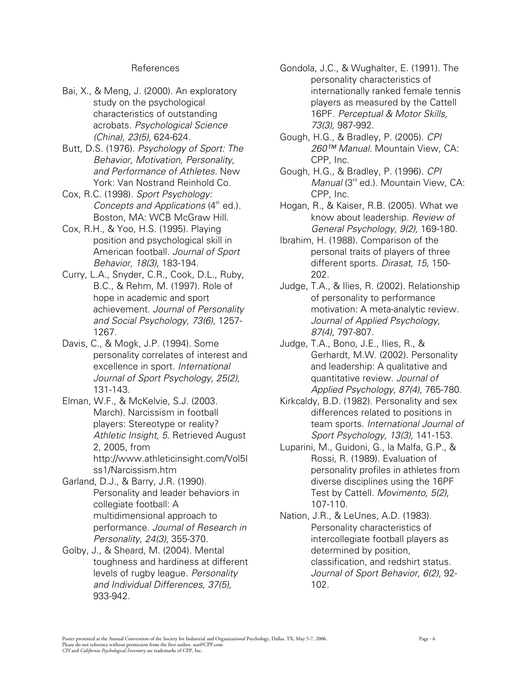# References

- Bai, X., & Meng, J. (2000). An exploratory study on the psychological characteristics of outstanding acrobats. *Psychological Science (China), 23(5),* 624-624.
- Butt, D.S. (1976). *Psychology of Sport: The Behavior, Motivation, Personality, and Performance of Athletes.* New York: Van Nostrand Reinhold Co.
- Cox, R.C. (1998). *Sport Psychology: Concepts and Applications* (4<sup>th</sup> ed.). Boston, MA: WCB McGraw Hill.
- Cox, R.H., & Yoo, H.S. (1995). Playing position and psychological skill in American football. *Journal of Sport Behavior, 18(3),* 183-194.
- Curry, L.A., Snyder, C.R., Cook, D.L., Ruby, B.C., & Rehm, M. (1997). Role of hope in academic and sport achievement. *Journal of Personality and Social Psychology, 73(6),* 1257- 1267.
- Davis, C., & Mogk, J.P. (1994). Some personality correlates of interest and excellence in sport. *International Journal of Sport Psychology, 25(2),* 131-143.
- Elman, W.F., & McKelvie, S.J. (2003. March). Narcissism in football players: Stereotype or reality? *Athletic Insight, 5*. Retrieved August 2, 2005, from http://www.athleticinsight.com/Vol5I ss1/Narcissism.htm
- Garland, D.J., & Barry, J.R. (1990). Personality and leader behaviors in collegiate football: A multidimensional approach to performance. *Journal of Research in Personality, 24(3)*, 355-370.
- Golby, J., & Sheard, M. (2004). Mental toughness and hardiness at different levels of rugby league. *Personality and Individual Differences, 37(5),* 933-942.
- Gondola, J.C., & Wughalter, E. (1991). The personality characteristics of internationally ranked female tennis players as measured by the Cattell 16PF. *Perceptual & Motor Skills, 73(3),* 987-992.
- Gough, H.G., & Bradley, P. (2005). *CPI 260™ Manual.* Mountain View, CA: CPP, Inc.
- Gough, H.G., & Bradley, P. (1996). *CPI Manual* (3<sup>rd</sup> ed.). Mountain View, CA: CPP, Inc.
- Hogan, R., & Kaiser, R.B. (2005). What we know about leadership. *Review of General Psychology, 9(2),* 169-180.
- Ibrahim, H. (1988). Comparison of the personal traits of players of three different sports. *Dirasat, 15,* 150- 202.
- Judge, T.A., & Ilies, R. (2002). Relationship of personality to performance motivation: A meta-analytic review. *Journal of Applied Psychology, 87(4),* 797-807.
- Judge, T.A., Bono, J.E., Ilies, R., & Gerhardt, M.W. (2002). Personality and leadership: A qualitative and quantitative review. *Journal of Applied Psychology, 87(4),* 765-780.
- Kirkcaldy, B.D. (1982). Personality and sex differences related to positions in team sports. *International Journal of Sport Psychology, 13(3),* 141-153.
- Luparini, M., Guidoni, G., la Malfa, G.P., & Rossi, R. (1989). Evaluation of personality profiles in athletes from diverse disciplines using the 16PF Test by Cattell. *Movimento, 5(2),*  107-110.
- Nation, J.R., & LeUnes, A.D. (1983). Personality characteristics of intercollegiate football players as determined by position, classification, and redshirt status. *Journal of Sport Behavior, 6(2),* 92- 102.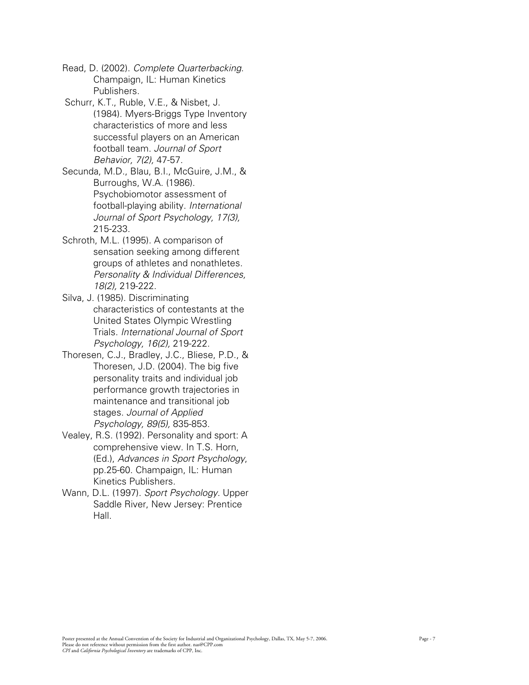Read, D. (2002). *Complete Quarterbacking*. Champaign, IL: Human Kinetics Publishers.

 Schurr, K.T., Ruble, V.E., & Nisbet, J. (1984). Myers-Briggs Type Inventory characteristics of more and less successful players on an American football team. *Journal of Sport Behavior, 7(2),* 47-57.

Secunda, M.D., Blau, B.I., McGuire, J.M., & Burroughs, W.A. (1986). Psychobiomotor assessment of football-playing ability. *International Journal of Sport Psychology, 17(3),* 215-233.

- Schroth, M.L. (1995). A comparison of sensation seeking among different groups of athletes and nonathletes. *Personality & Individual Differences, 18(2),* 219-222.
- Silva, J. (1985). Discriminating characteristics of contestants at the United States Olympic Wrestling Trials. *International Journal of Sport Psychology, 16(2),* 219-222.
- Thoresen, C.J., Bradley, J.C., Bliese, P.D., & Thoresen, J.D. (2004). The big five personality traits and individual job performance growth trajectories in maintenance and transitional job stages. *Journal of Applied Psychology, 89(5),* 835-853.
- Vealey, R.S. (1992). Personality and sport: A comprehensive view. In T.S. Horn, (Ed.), *Advances in Sport Psychology*, pp.25-60. Champaign, IL: Human Kinetics Publishers.
- Wann, D.L. (1997). *Sport Psychology.* Upper Saddle River, New Jersey: Prentice Hall.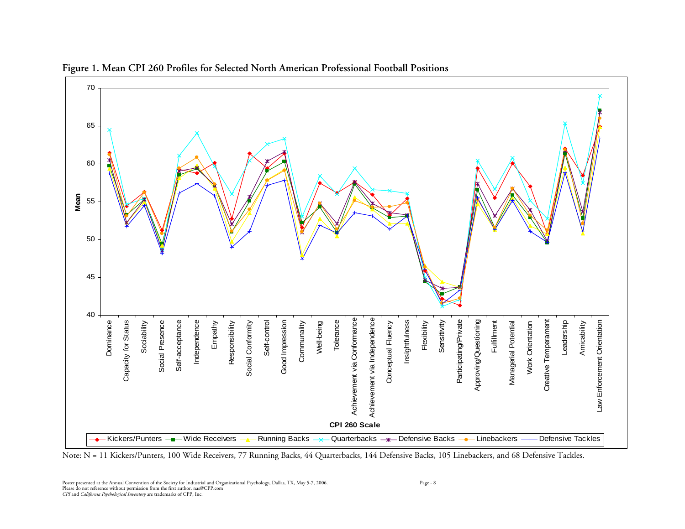

**Figure 1. Mean CPI 260 Profiles for Selected North American Professional Football Positions** 

Note: N = 11 Kickers/Punters, 100 Wide Receivers, 77 Running Backs, 44 Quarterbacks, 144 Defensive Backs, 105 Linebackers, and 68 Defensive Tackles.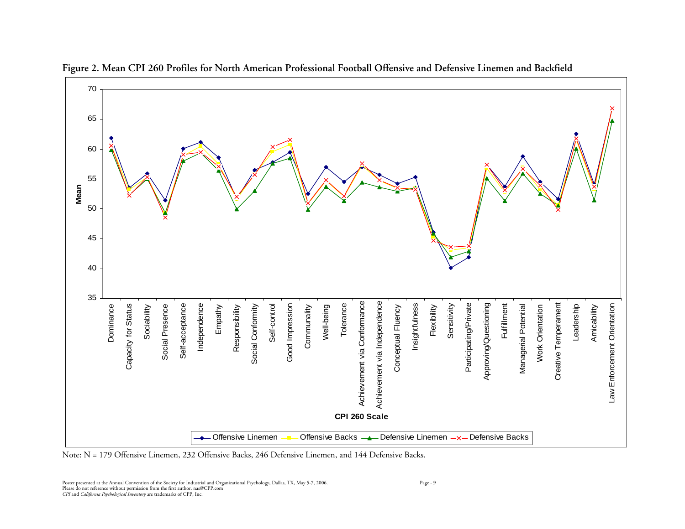

**Figure 2. Mean CPI 260 Profiles for North American Professional Football Offensive and Defensive Linemen and Backfield** 

Note: N = 179 Offensive Linemen, 232 Offensive Backs, 246 Defensive Linemen, and 144 Defensive Backs.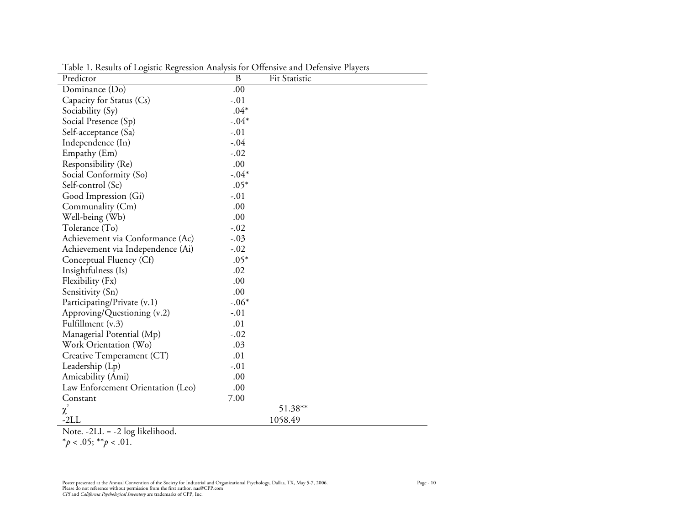| Predictor                         | B       | Fit Statistic |
|-----------------------------------|---------|---------------|
| Dominance (Do)                    | .00     |               |
| Capacity for Status (Cs)          | $-.01$  |               |
| Sociability (Sy)                  | $.04*$  |               |
| Social Presence (Sp)              | $-.04*$ |               |
| Self-acceptance (Sa)              | $-.01$  |               |
| Independence (In)                 | $-.04$  |               |
| Empathy (Em)                      | $-.02$  |               |
| Responsibility (Re)               | .00     |               |
| Social Conformity (So)            | $-.04*$ |               |
| Self-control (Sc)                 | $.05*$  |               |
| Good Impression (Gi)              | $-.01$  |               |
| Communality (Cm)                  | .00     |               |
| Well-being (Wb)                   | .00     |               |
| Tolerance (To)                    | $-.02$  |               |
| Achievement via Conformance (Ac)  | $-.03$  |               |
| Achievement via Independence (Ai) | $-.02$  |               |
| Conceptual Fluency (Cf)           | $.05*$  |               |
| Insightfulness (Is)               | .02     |               |
| Flexibility (Fx)                  | .00     |               |
| Sensitivity (Sn)                  | .00     |               |
| Participating/Private (v.1)       | $-.06*$ |               |
| Approving/Questioning (v.2)       | $-.01$  |               |
| Fulfillment (v.3)                 | .01     |               |
| Managerial Potential (Mp)         | $-.02$  |               |
| Work Orientation (Wo)             | .03     |               |
| Creative Temperament (CT)         | .01     |               |
| Leadership (Lp)                   | $-.01$  |               |
| Amicability (Ami)                 | .00     |               |
| Law Enforcement Orientation (Leo) | .00     |               |
| Constant                          | 7.00    |               |
| $\chi^2$                          |         | 51.38**       |
| $-2LL$                            |         | 1058.49       |

Table 1. Results of Logistic Regression Analysis for Offensive and Defensive Players

Note. -2LL = -2 log likelihood.

\**p* < .05; \*\**p* < .01.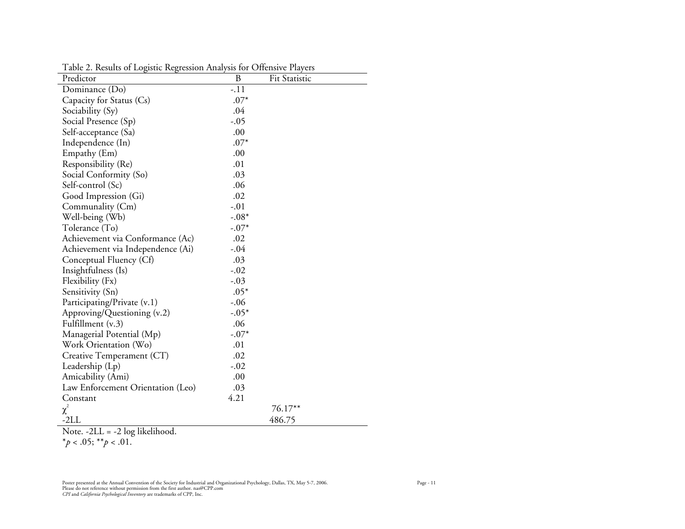| Predictor                         | B       | Fit Statistic |
|-----------------------------------|---------|---------------|
| Dominance (Do)                    | $-.11$  |               |
| Capacity for Status (Cs)          | $.07*$  |               |
| Sociability (Sy)                  | .04     |               |
| Social Presence (Sp)              | $-.05$  |               |
| Self-acceptance (Sa)              | .00     |               |
| Independence (In)                 | $.07*$  |               |
| Empathy (Em)                      | .00     |               |
| Responsibility (Re)               | .01     |               |
| Social Conformity (So)            | .03     |               |
| Self-control (Sc)                 | .06     |               |
| Good Impression (Gi)              | .02     |               |
| Communality (Cm)                  | $-.01$  |               |
| Well-being (Wb)                   | $-.08*$ |               |
| Tolerance (To)                    | $-.07*$ |               |
| Achievement via Conformance (Ac)  | .02     |               |
| Achievement via Independence (Ai) | $-.04$  |               |
| Conceptual Fluency (Cf)           | .03     |               |
| Insightfulness (Is)               | $-.02$  |               |
| Flexibility (Fx)                  | $-.03$  |               |
| Sensitivity (Sn)                  | $.05*$  |               |
| Participating/Private (v.1)       | $-.06$  |               |
| Approving/Questioning (v.2)       | $-.05*$ |               |
| Fulfillment (v.3)                 | .06     |               |
| Managerial Potential (Mp)         | $-.07*$ |               |
| Work Orientation (Wo)             | .01     |               |
| Creative Temperament (CT)         | .02     |               |
| Leadership (Lp)                   | $-.02$  |               |
| Amicability (Ami)                 | .00     |               |
| Law Enforcement Orientation (Leo) | .03     |               |
| Constant                          | 4.21    |               |
| $\chi^2$                          |         | 76.17**       |
| $-2LL$                            |         | 486.75        |

Table 2. Results of Logistic Regression Analysis for Offensive Players

Note. -2LL = -2 log likelihood.

\**p* < .05; \*\**p* < .01.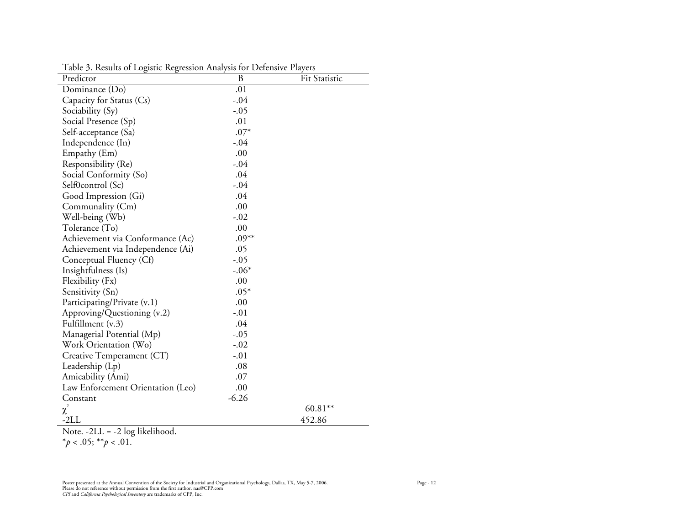| Predictor                         | B       | <b>Fit Statistic</b> |
|-----------------------------------|---------|----------------------|
| Dominance (Do)                    | .01     |                      |
| Capacity for Status (Cs)          | $-.04$  |                      |
| Sociability (Sy)                  | $-.05$  |                      |
| Social Presence (Sp)              | .01     |                      |
| Self-acceptance (Sa)              | $.07*$  |                      |
| Independence (In)                 | $-.04$  |                      |
| Empathy (Em)                      | .00     |                      |
| Responsibility (Re)               | $-.04$  |                      |
| Social Conformity (So)            | .04     |                      |
| Self0control (Sc)                 | $-.04$  |                      |
| Good Impression (Gi)              | .04     |                      |
| Communality (Cm)                  | .00     |                      |
| Well-being (Wb)                   | $-.02$  |                      |
| Tolerance (To)                    | .00     |                      |
| Achievement via Conformance (Ac)  | $.09**$ |                      |
| Achievement via Independence (Ai) | .05     |                      |
| Conceptual Fluency (Cf)           | $-.05$  |                      |
| Insightfulness (Is)               | $-.06*$ |                      |
| Flexibility (Fx)                  | .00     |                      |
| Sensitivity (Sn)                  | $.05*$  |                      |
| Participating/Private (v.1)       | .00     |                      |
| Approving/Questioning (v.2)       | $-.01$  |                      |
| Fulfillment (v.3)                 | .04     |                      |
| Managerial Potential (Mp)         | $-.05$  |                      |
| Work Orientation (Wo)             | $-.02$  |                      |
| Creative Temperament (CT)         | $-.01$  |                      |
| Leadership (Lp)                   | .08     |                      |
| Amicability (Ami)                 | .07     |                      |
| Law Enforcement Orientation (Leo) | .00     |                      |
| Constant                          | $-6.26$ |                      |
| $\chi^2$                          |         | $60.81***$           |
| -2LL                              |         | 452.86               |

Table 3. Results of Logistic Regression Analysis for Defensive Players

Note. -2LL = -2 log likelihood.

\**p* < .05; \*\**p* < .01.

Poster presented at the Annual Convention of the Society for Industrial and Organizational Psychology, Dallas, TX, May 5-7, 2006.<br>Please do not reference without permission from the first author. nas@CPP.com<br>*CPI* and *Cal*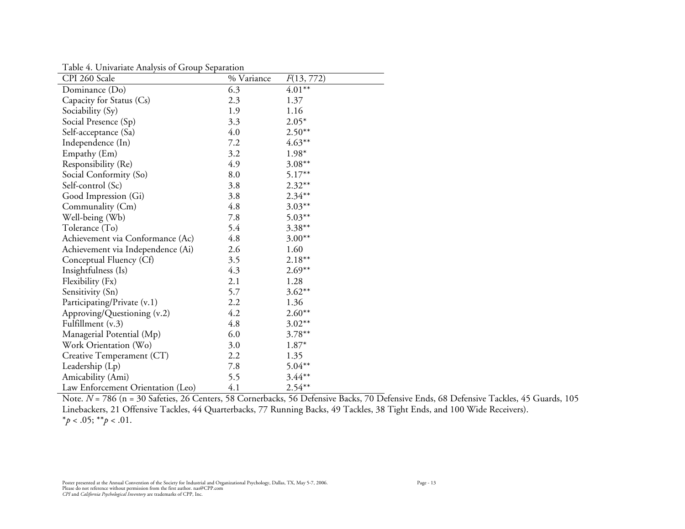Table 4. Univariate Analysis of Group Separation

| rable 1. Sinvanuel mary 313 or Sroup opputation<br>CPI 260 Scale | % Variance | F(13, 772) |
|------------------------------------------------------------------|------------|------------|
| Dominance (Do)                                                   | 6.3        | $4.01**$   |
| Capacity for Status (Cs)                                         | 2.3        | 1.37       |
| Sociability (Sy)                                                 | 1.9        | 1.16       |
| Social Presence (Sp)                                             | 3.3        | $2.05*$    |
| Self-acceptance (Sa)                                             | 4.0        | $2.50**$   |
| Independence (In)                                                | 7.2        | $4.63***$  |
| Empathy (Em)                                                     | 3.2        | 1.98*      |
| Responsibility (Re)                                              | 4.9        | $3.08***$  |
| Social Conformity (So)                                           | 8.0        | $5.17***$  |
| Self-control (Sc)                                                | 3.8        | $2.32***$  |
| Good Impression (Gi)                                             | 3.8        | $2.34***$  |
| Communality (Cm)                                                 | 4.8        | $3.03***$  |
| Well-being (Wb)                                                  | 7.8        | $5.03***$  |
| Tolerance (To)                                                   | 5.4        | $3.38***$  |
| Achievement via Conformance (Ac)                                 | 4.8        | $3.00**$   |
| Achievement via Independence (Ai)                                | 2.6        | 1.60       |
| Conceptual Fluency (Cf)                                          | 3.5        | $2.18**$   |
| Insightfulness (Is)                                              | 4.3        | $2.69**$   |
| Flexibility (Fx)                                                 | 2.1        | 1.28       |
| Sensitivity (Sn)                                                 | 5.7        | $3.62**$   |
| Participating/Private (v.1)                                      | 2.2        | 1.36       |
| Approving/Questioning (v.2)                                      | 4.2        | $2.60**$   |
| Fulfillment (v.3)                                                | 4.8        | $3.02**$   |
| Managerial Potential (Mp)                                        | 6.0        | $3.78***$  |
| Work Orientation (Wo)                                            | 3.0        | 1.87*      |
| Creative Temperament (CT)                                        | 2.2        | 1.35       |
| Leadership (Lp)                                                  | 7.8        | $5.04**$   |
| Amicability (Ami)                                                | 5.5        | $3.44**$   |
| Law Enforcement Orientation (Leo)                                | 4.1        | $2.54***$  |

Note. *N* = 786 (n = 30 Safeties, 26 Centers, 58 Cornerbacks, 56 Defensive Backs, 70 Defensive Ends, 68 Defensive Tackles, 45 Guards, 105 Linebackers, 21 Offensive Tackles, 44 Quarterbacks, 77 Running Backs, 49 Tackles, 38 Tight Ends, and 100 Wide Receivers).  $*_{p}$  < .05;  $*_{p}$  < .01.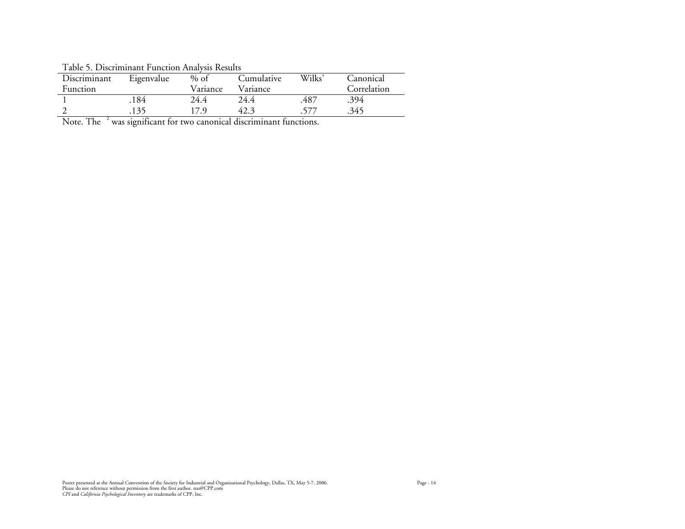Table 5. Discriminant Function Analysis Results Discriminant Function Eigenvalue Variance Cumulative Variance Wilks' Canonical Correlation 1 .184 24.4 24.4 .487 .394 2 .135 17.9 42.3 .577 .345

Note. The  $2\%$  was significant for two canonical discriminant functions.